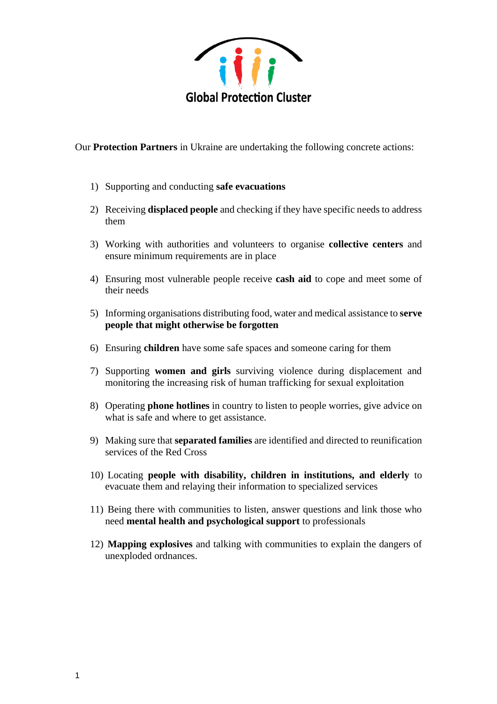

Our **Protection Partners** in Ukraine are undertaking the following concrete actions:

- 1) Supporting and conducting **safe evacuations**
- 2) Receiving **displaced people** and checking if they have specific needs to address them
- 3) Working with authorities and volunteers to organise **collective centers** and ensure minimum requirements are in place
- 4) Ensuring most vulnerable people receive **cash aid** to cope and meet some of their needs
- 5) Informing organisations distributing food, water and medical assistance to **serve people that might otherwise be forgotten**
- 6) Ensuring **children** have some safe spaces and someone caring for them
- 7) Supporting **women and girls** surviving violence during displacement and monitoring the increasing risk of human trafficking for sexual exploitation
- 8) Operating **phone hotlines** in country to listen to people worries, give advice on what is safe and where to get assistance.
- 9) Making sure that **separated families** are identified and directed to reunification services of the Red Cross
- 10) Locating **people with disability, children in institutions, and elderly** to evacuate them and relaying their information to specialized services
- 11) Being there with communities to listen, answer questions and link those who need **mental health and psychological support** to professionals
- 12) **Mapping explosives** and talking with communities to explain the dangers of unexploded ordnances.